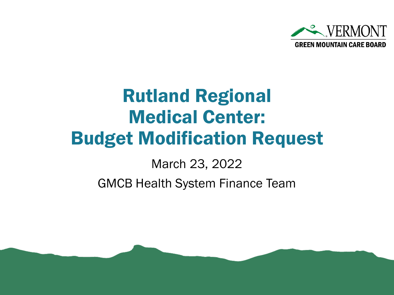

# Rutland Regional Medical Center: Budget Modification Request

March 23, 2022

GMCB Health System Finance Team

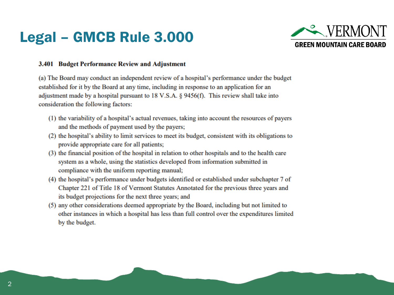## Legal – GMCB Rule 3.000



#### **3.401 Budget Performance Review and Adjustment**

(a) The Board may conduct an independent review of a hospital's performance under the budget established for it by the Board at any time, including in response to an application for an adjustment made by a hospital pursuant to 18 V.S.A. § 9456(f). This review shall take into consideration the following factors:

- (1) the variability of a hospital's actual revenues, taking into account the resources of payers and the methods of payment used by the payers;
- (2) the hospital's ability to limit services to meet its budget, consistent with its obligations to provide appropriate care for all patients;
- (3) the financial position of the hospital in relation to other hospitals and to the health care system as a whole, using the statistics developed from information submitted in compliance with the uniform reporting manual;
- (4) the hospital's performance under budgets identified or established under subchapter 7 of Chapter 221 of Title 18 of Vermont Statutes Annotated for the previous three years and its budget projections for the next three years; and
- (5) any other considerations deemed appropriate by the Board, including but not limited to other instances in which a hospital has less than full control over the expenditures limited by the budget.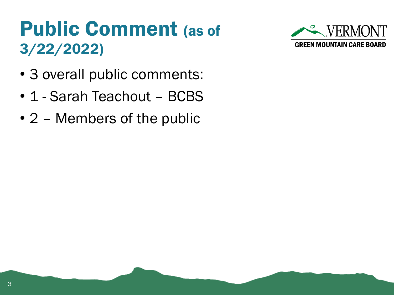# Public Comment (as of 3/22/2022)

- 3 overall public comments:
- 1 Sarah Teachout BCBS
- 2 Members of the public

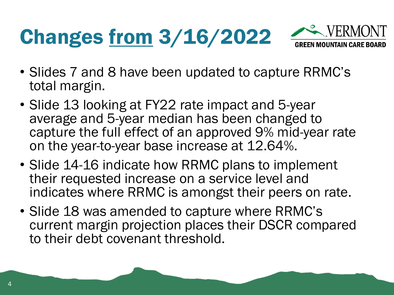# Changes from 3/16/2022



- Slides 7 and 8 have been updated to capture RRMC's total margin.
- Slide 13 looking at FY22 rate impact and 5-year average and 5-year median has been changed to capture the full effect of an approved 9% mid-year rate on the year-to-year base increase at 12.64%.
- Slide 14-16 indicate how RRMC plans to implement their requested increase on a service level and indicates where RRMC is amongst their peers on rate.
- Slide 18 was amended to capture where RRMC's current margin projection places their DSCR compared to their debt covenant threshold.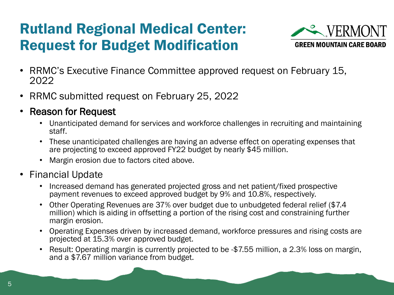## Rutland Regional Medical Center: Request for Budget Modification



- RRMC's Executive Finance Committee approved request on February 15, 2022
- RRMC submitted request on February 25, 2022
- Reason for Request
	- Unanticipated demand for services and workforce challenges in recruiting and maintaining staff.
	- These unanticipated challenges are having an adverse effect on operating expenses that are projecting to exceed approved FY22 budget by nearly \$45 million.
	- Margin erosion due to factors cited above.
- Financial Update
	- Increased demand has generated projected gross and net patient/fixed prospective payment revenues to exceed approved budget by 9% and 10.8%, respectively.
	- Other Operating Revenues are 37% over budget due to unbudgeted federal relief (\$7.4 million) which is aiding in offsetting a portion of the rising cost and constraining further margin erosion.
	- Operating Expenses driven by increased demand, workforce pressures and rising costs are projected at 15.3% over approved budget.
	- Result: Operating margin is currently projected to be -\$7.55 million, a 2.3% loss on margin, and a \$7.67 million variance from budget.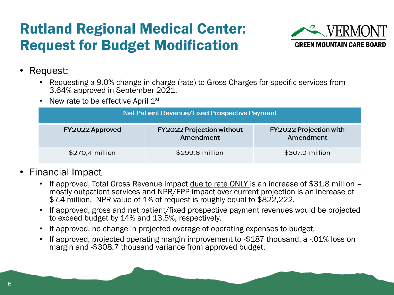## Rutland Regional Medical Center: Request for Budget Modification



- Request:
	- Requesting a 9.0% change in charge (rate) to Gross Charges for specific services from 3.64% approved in September 2021.
	- New rate to be effective April  $1<sup>st</sup>$

| Net Patient Revenue/Fixed Prospective Payment |                                               |                                     |  |  |  |  |  |  |  |
|-----------------------------------------------|-----------------------------------------------|-------------------------------------|--|--|--|--|--|--|--|
| FY2022 Approved                               | <b>FY2022 Projection without</b><br>Amendment | FY2022 Projection with<br>Amendment |  |  |  |  |  |  |  |
| \$270,4 million                               | \$299.6 million                               | \$307.0 million                     |  |  |  |  |  |  |  |

- Financial Impact
	- If approved, Total Gross Revenue impact due to rate ONLY is an increase of \$31.8 million mostly outpatient services and NPR/FPP impact over current projection is an increase of \$7.4 million. NPR value of 1% of request is roughly equal to \$822,222.
	- If approved, gross and net patient/fixed prospective payment revenues would be projected to exceed budget by 14% and 13.5%, respectively.
	- If approved, no change in projected overage of operating expenses to budget.
	- If approved, projected operating margin improvement to -\$187 thousand, a -.01% loss on margin and -\$308.7 thousand variance from approved budget.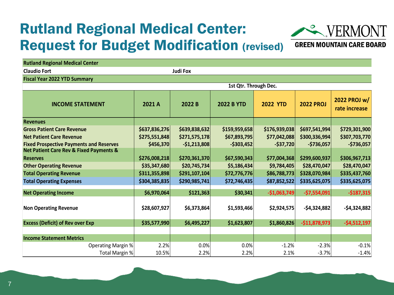## Rutland Regional Medical Center: Request for Budget Modification (revised)



**GREEN MOUNTAIN CARE BOARD** 

| <b>Rutland Regional Medical Center</b>                 |                       |                |                   |                 |                  |                               |  |  |  |  |  |  |
|--------------------------------------------------------|-----------------------|----------------|-------------------|-----------------|------------------|-------------------------------|--|--|--|--|--|--|
| <b>Claudio Fort</b>                                    | <b>Judi Fox</b>       |                |                   |                 |                  |                               |  |  |  |  |  |  |
| <b>Fiscal Year 2022 YTD Summary</b>                    |                       |                |                   |                 |                  |                               |  |  |  |  |  |  |
|                                                        | 1st Qtr. Through Dec. |                |                   |                 |                  |                               |  |  |  |  |  |  |
| <b>INCOME STATEMENT</b>                                | 2021 A                | 2022 B         | <b>2022 B YTD</b> | <b>2022 YTD</b> | <b>2022 PROJ</b> | 2022 PROJ w/<br>rate increase |  |  |  |  |  |  |
| <b>Revenues</b>                                        |                       |                |                   |                 |                  |                               |  |  |  |  |  |  |
| <b>Gross Patient Care Revenue</b>                      | \$637,836,276         | \$639,838,632  | \$159,959,658     | \$176,939,038   | \$697,541,994    | \$729,301,900                 |  |  |  |  |  |  |
| <b>Net Patient Care Revenue</b>                        | \$275,551,848         | \$271,575,178  | \$67,893,795      | \$77,042,088    | \$300,336,994    | \$307,703,770                 |  |  |  |  |  |  |
| <b>Fixed Prospective Payments and Reserves</b>         | \$456,370             | $-$1,213,808$  | $-$303,452$       | $-$ \$37,720    | -\$736,057       | $-$736,057$                   |  |  |  |  |  |  |
| <b>Net Patient Care Rev &amp; Fixed Payments &amp;</b> |                       |                |                   |                 |                  |                               |  |  |  |  |  |  |
| <b>Reserves</b>                                        | \$276,008,218         | \$270,361,370  | \$67,590,343      | \$77,004,368    | \$299,600,937    | \$306,967,713                 |  |  |  |  |  |  |
| <b>Other Operating Revenue</b>                         | \$35,347,680          | \$20,745,734   | \$5,186,434       | \$9,784,405     | \$28,470,047     | \$28,470,047                  |  |  |  |  |  |  |
| <b>Total Operating Revenue</b>                         | \$311,355,898         | \$291,107,104] | \$72,776,776      | \$86,788,773    | \$328,070,984    | \$335,437,760                 |  |  |  |  |  |  |
| <b>Total Operating Expenses</b>                        | \$304,385,835         | \$290,985,741  | \$72,746,435      | \$87,852,522    | \$335,625,075    | \$335,625,075                 |  |  |  |  |  |  |
| <b>Net Operating Income</b>                            | \$6,970,064           | \$121,363      | \$30,341          | $-$1,063,749$   | $-$7,554,091$    | $-$187,315$                   |  |  |  |  |  |  |
| <b>Non Operating Revenue</b>                           | \$28,607,927          | \$6,373,864    | \$1,593,466       | \$2,924,575     | $-$4,324,882$    | $-54,324,882$                 |  |  |  |  |  |  |
| <b>Excess (Deficit) of Rev over Exp</b>                | \$35,577,990          | \$6,495,227    | \$1,623,807       | \$1,860,826     | $-$11,878,973$   | $-$4,512,197$                 |  |  |  |  |  |  |
|                                                        |                       |                |                   |                 |                  |                               |  |  |  |  |  |  |
| <b>Income Statement Metrics</b>                        |                       |                |                   |                 |                  |                               |  |  |  |  |  |  |
| Operating Margin %                                     | 2.2%                  | 0.0%           | 0.0%              | $-1.2%$         | $-2.3%$          | $-0.1%$                       |  |  |  |  |  |  |
| Total Margin %                                         | 10.5%                 | 2.2%           | 2.2%              | 2.1%            | $-3.7%$          | $-1.4%$                       |  |  |  |  |  |  |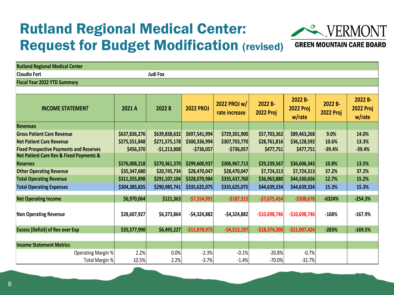## Rutland Regional Medical Center: Request for Budget Modification (revised)



### **GREEN MOUNTAIN CARE BOARD**

| <b>Rutland Regional Medical Center</b>                 |                 |               |                  |                                                              |                |                                       |                             |                                       |  |  |  |
|--------------------------------------------------------|-----------------|---------------|------------------|--------------------------------------------------------------|----------------|---------------------------------------|-----------------------------|---------------------------------------|--|--|--|
| <b>Claudio Fort</b>                                    | <b>Judi Fox</b> |               |                  |                                                              |                |                                       |                             |                                       |  |  |  |
| <b>Fiscal Year 2022 YTD Summary</b>                    |                 |               |                  |                                                              |                |                                       |                             |                                       |  |  |  |
|                                                        |                 |               |                  |                                                              |                |                                       |                             |                                       |  |  |  |
| <b>INCOME STATEMENT</b>                                | 2022B<br>2021 A |               | <b>2022 PROJ</b> | 2022 PROJ w/<br>2022 B-<br><b>2022 Proj</b><br>rate increase |                | 2022 B-<br><b>2022 Proj</b><br>w/rate | 2022 B-<br><b>2022 Proj</b> | 2022 B-<br><b>2022 Proj</b><br>w/rate |  |  |  |
| <b>Revenues</b>                                        |                 |               |                  |                                                              |                |                                       |                             |                                       |  |  |  |
| <b>Gross Patient Care Revenue</b>                      | \$637,836,276   | \$639,838,632 | \$697,541,994    | \$729,301,900                                                | \$57,703,362   | \$89,463,268                          | 9.0%                        | 14.0%                                 |  |  |  |
| <b>Net Patient Care Revenue</b>                        | \$275,551,848   | \$271,575,178 | \$300,336,994    | \$307,703,770                                                | \$28,761,816   | \$36,128,592                          | 10.6%                       | 13.3%                                 |  |  |  |
| <b>Fixed Prospective Payments and Reserves</b>         | \$456,370       | $-$1,213,808$ | $-$736,057$      | $-$736,057$                                                  | \$477,751      | \$477,751                             | $-39.4%$                    | $-39.4%$                              |  |  |  |
| <b>Net Patient Care Rev &amp; Fixed Payments &amp;</b> |                 |               |                  |                                                              |                |                                       |                             |                                       |  |  |  |
| <b>Reserves</b>                                        | \$276,008,218   | \$270,361,370 | \$299,600,937    | \$306,967,713                                                | \$29,239,567   | \$36,606,343                          | 10.8%                       | 13.5%                                 |  |  |  |
| <b>Other Operating Revenue</b>                         | \$35,347,680    | \$20,745,734  | \$28,470,047     | \$28,470,047                                                 | \$7,724,313    | \$7,724,313                           | 37.2%                       | 37.2%                                 |  |  |  |
| <b>Total Operating Revenue</b>                         | \$311,355,898   | \$291,107,104 | \$328,070,984    | \$335,437,760                                                | \$36,963,880   | \$44,330,656                          | 12.7%                       | 15.2%                                 |  |  |  |
| <b>Total Operating Expenses</b>                        | \$304,385,835   | \$290,985,741 | \$335,625,075    | \$335,625,075                                                | \$44,639,334   | \$44,639,334]                         | 15.3%                       | 15.3%                                 |  |  |  |
| <b>Net Operating Income</b>                            | \$6,970,064     | \$121,363     | $-$7,554,091$    | $-$187,315$                                                  | $-$7,675,454$  | $-$308,678$                           | $-6324%$                    | $-254.3%$                             |  |  |  |
| <b>Non Operating Revenue</b>                           | \$28,607,927    | \$6,373,864   | $-$4,324,882$    | $-54,324,882$                                                | $-$10,698,746$ | $-$10,698,746$                        | $-168%$                     | $-167.9%$                             |  |  |  |
| <b>Excess (Deficit) of Rev over Exp</b>                | \$35,577,990    | \$6,495,227   | $-$11,878,973$   | $-$4,512,197$                                                | $-$18,374,200$ | $-$11,007,424$                        | $-283%$                     | $-169.5%$                             |  |  |  |
|                                                        |                 |               |                  |                                                              |                |                                       |                             |                                       |  |  |  |
| <b>Income Statement Metrics</b>                        |                 |               |                  |                                                              |                |                                       |                             |                                       |  |  |  |
| <b>Operating Margin %</b>                              | 2.2%            | 0.0%          | $-2.3%$          | $-0.1%$                                                      | $-20.8%$       | $-0.7%$                               |                             |                                       |  |  |  |
| Total Margin %                                         | 10.5%           | 2.2%          | $-3.7%$          | $-1.4%$                                                      | $-70.0%$       | $-32.7%$                              |                             |                                       |  |  |  |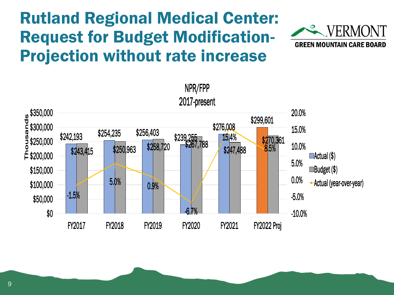## Rutland Regional Medical Center: Request for Budget Modification-Projection without rate increase



VERM

**GREEN MOUNTAIN CARE BOARD** 

9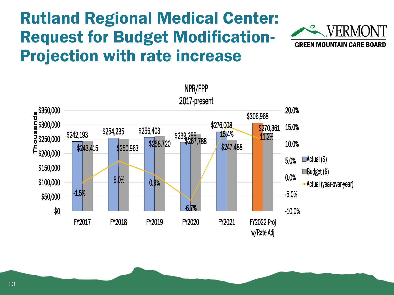## Rutland Regional Medical Center: Request for Budget Modification-Projection with rate increase

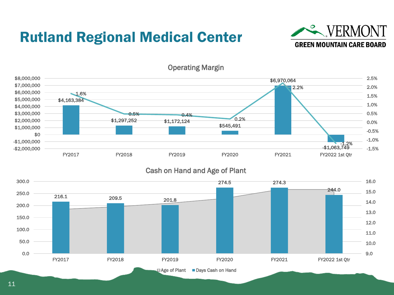## Rutland Regional Medical Center





Operating Margin

### Cash on Hand and Age of Plant

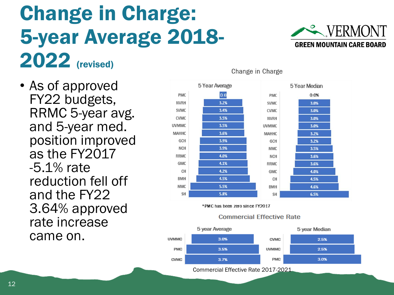# Change in Charge: 5-year Average 2018- 2022 (revised)

• As of approved FY22 budgets, RRMC 5-year avg. and 5-year med. position improved as the FY2017 -5.1% rate reduction fell off and the FY22 3.64% approved rate increase came on.





Change in Charge

\*PMC has been zero since FY2017

#### **Commercial Effective Rate**



Commercial Effective Rate 2017-2021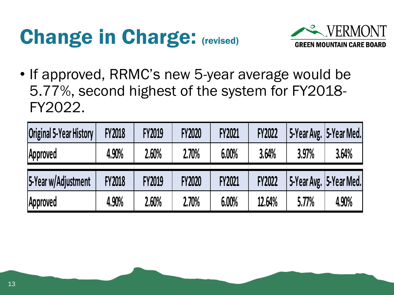# Change in Charge: (revised)



• If approved, RRMC's new 5-year average would be 5.77%, second highest of the system for FY2018- FY2022.

| <b>Original 5-Year History</b> | <b>FY2018</b> | <b>FY2019</b> | <b>FY2020</b> | <b>FY2021</b> | <b>FY2022</b> |       | 5-Year Avg.   5-Year Med. |
|--------------------------------|---------------|---------------|---------------|---------------|---------------|-------|---------------------------|
| Approved                       | 4.90%         | 2.60%         | 2.70%         | 6.00%         | 3.64%         | 3.97% | 3.64%                     |
| 5-Year w/Adjustment            | <b>FY2018</b> | <b>FY2019</b> | <b>FY2020</b> | <b>FY2021</b> | <b>FY2022</b> |       | 5-Year Avg.   5-Year Med. |
| Approved                       | 4.90%         | 2.60%         | 2.70%         | 6.00%         | 12.64%        | 5.77% | 4.90%                     |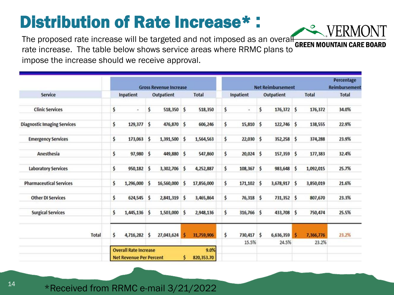## Distribution of Rate Increase\* :

The proposed rate increase will be targeted and not imposed as an overall GREEN MOUNTAIN CARE BOARD rate increase. The table below shows service areas where RRMC plans to impose the increase should we receive approval.

|                                    |                              | <b>Gross Revenue Increase</b>                      |    |            |              |              |    | <b>Net Reimbursement</b> | Percentage<br><b>Reimbursement</b> |            |       |              |              |
|------------------------------------|------------------------------|----------------------------------------------------|----|------------|--------------|--------------|----|--------------------------|------------------------------------|------------|-------|--------------|--------------|
| <b>Service</b>                     | Inpatient<br>Outpatient      |                                                    |    |            |              | <b>Total</b> |    | Inpatient                |                                    | Outpatient |       | <b>Total</b> | <b>Total</b> |
| <b>Clinic Services</b>             | \$                           | $\blacksquare$                                     | \$ | 518,350 \$ |              | 518,350      | \$ | $\star$                  | \$                                 | 176,372    | \$    | 176,372      | 34.0%        |
| <b>Diagnostic Imaging Services</b> | \$                           | 129,377                                            | \$ | 476,870    | $\mathsf{s}$ | 606,246      | \$ | 15,810                   | S                                  | 122,746    | \$    | 138,555      | 22.9%        |
| <b>Emergency Services</b>          | \$                           | 173,063                                            | \$ | 1,391,500  | \$           | 1,564,563    | \$ | 22,030                   | $\mathsf{\hat{S}}$                 | 352,258    | \$    | 374,288      | 23.9%        |
| Anesthesia                         | \$                           | 97,980                                             | \$ | 449,880    | \$           | 547,860      | \$ | 20,024                   | $\mathsf{s}$                       | 157,359    | \$    | 177,383      | 32.4%        |
| <b>Laboratory Services</b>         | \$                           | 950,182 \$                                         |    | 3,302,706  | \$           | 4,252,887    | \$ | $108,367$ \$             |                                    | 983,648    | \$    | 1,092,015    | 25.7%        |
| <b>Pharmaceutical Services</b>     | \$                           | 1,296,000                                          | \$ | 16,560,000 | \$           | 17,856,000   | \$ | $171,102$ \$             |                                    | 3,678,917  | \$    | 3,850,019    | 21.6%        |
| <b>Other DI Services</b>           | \$                           | 624,545                                            | \$ | 2,841,319  | \$           | 3,465,864    | \$ | $76,318$ \$              |                                    | 731,352    | \$    | 807,670      | 23.3%        |
| <b>Surgical Services</b>           | \$                           | 1,445,136 \$                                       |    | 1,503,000  | \$           | 2,948,136    | \$ | 316,766 \$               |                                    | 433,708    | \$    | 750,474      | 25.5%        |
| <b>Total</b>                       | \$                           | 4,716,282                                          | \$ | 27,043,624 | \$           | 31,759,906   | \$ | 730,417 \$               |                                    | 6,636,359  | ŝ     | 7,366,776    | 23.2%        |
|                                    | <b>Overall Rate Increase</b> |                                                    |    |            |              | 9.0%         |    | 15.5%                    | 24.5%                              |            | 23.2% |              |              |
|                                    |                              | \$<br>820,353.70<br><b>Net Revenue Per Percent</b> |    |            |              |              |    |                          |                                    |            |       |              |              |



\*Received from RRMC e-mail 3/21/2022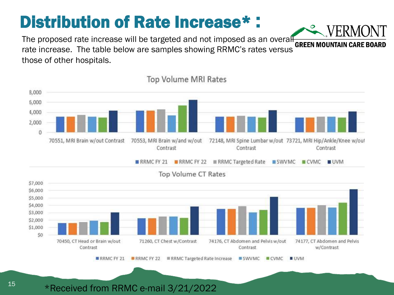# Distribution of Rate Increase\* :

The proposed rate increase will be targeted and not imposed as an overall **GREEN MOUNTAIN CARE BOARD** rate increase. The table below are samples showing RRMC's rates versus those of other hospitals.



**Top Volume MRI Rates** 

\*Received from RRMC e-mail 3/21/2022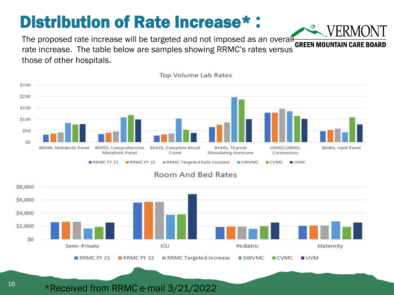# Distribution of Rate Increase\* :

The proposed rate increase will be targeted and not imposed as an overally  $\frac{1}{\sqrt{2}}$  of  $\frac{1}{\sqrt{2}}$  of  $\frac{1}{\sqrt{2}}$ rate increase. The table below are samples showing RRMC's rates versus those of other hospitals.



#### **Top Volume Lab Rates**

### **Room And Bed Rates**



### \*Received from RRMC e-mail 3/21/2022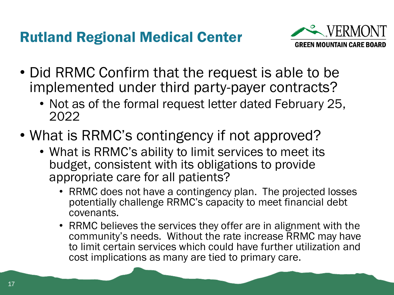## Rutland Regional Medical Center



- Did RRMC Confirm that the request is able to be implemented under third party-payer contracts?
	- Not as of the formal request letter dated February 25, 2022
- What is RRMC's contingency if not approved?
	- What is RRMC's ability to limit services to meet its budget, consistent with its obligations to provide appropriate care for all patients?
		- RRMC does not have a contingency plan. The projected losses potentially challenge RRMC's capacity to meet financial debt covenants.
		- RRMC believes the services they offer are in alignment with the community's needs. Without the rate increase RRMC may have to limit certain services which could have further utilization and cost implications as many are tied to primary care.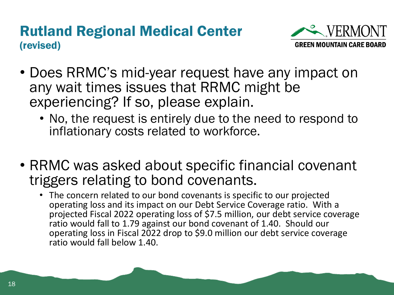### Rutland Regional Medical Center (revised)



- Does RRMC's mid-year request have any impact on any wait times issues that RRMC might be experiencing? If so, please explain.
	- No, the request is entirely due to the need to respond to inflationary costs related to workforce.
- RRMC was asked about specific financial covenant triggers relating to bond covenants.
	- The concern related to our bond covenants is specific to our projected operating loss and its impact on our Debt Service Coverage ratio. With a projected Fiscal 2022 operating loss of \$7.5 million, our debt service coverage ratio would fall to 1.79 against our bond covenant of 1.40. Should our operating loss in Fiscal 2022 drop to \$9.0 million our debt service coverage ratio would fall below 1.40.